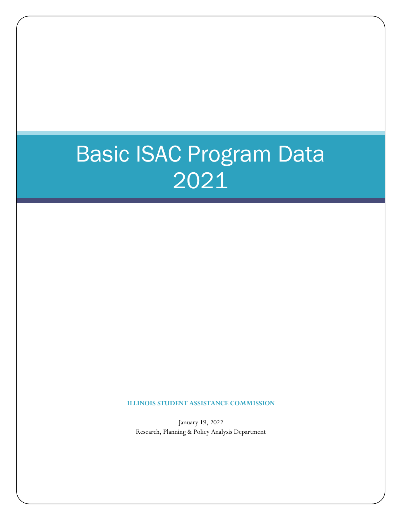# Basic ISAC Program Data 2021

**ILLINOIS STUDENT ASSISTANCE COMMISSION**

January 19, 2022 Research, Planning & Policy Analysis Department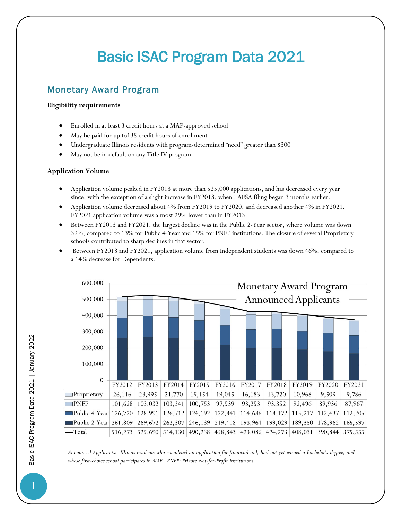# Basic ISAC Program Data 2021

## Monetary Award Program

#### **Eligibility requirements**

- Enrolled in at least 3 credit hours at a MAP-approved school
- May be paid for up to135 credit hours of enrollment
- Undergraduate Illinois residents with program-determined "need" greater than \$300
- May not be in default on any Title IV program

#### **Application Volume**

- Application volume peaked in FY2013 at more than 525,000 applications, and has decreased every year since, with the exception of a slight increase in FY2018, when FAFSA filing began 3 months earlier.
- Application volume decreased about 4% from FY2019 to FY2020, and decreased another 4% in FY2021. FY2021 application volume was almost 29% lower than in FY2013.
- Between FY2013 and FY2021, the largest decline was in the Public 2-Year sector, where volume was down 39%, compared to 13% for Public 4-Year and 15% for PNFP institutions. The closure of several Proprietary schools contributed to sharp declines in that sector.
- Between FY2013 and FY2021, application volume from Independent students was down 46%, compared to a 14% decrease for Dependents.



*Announced Applicants: Illinois residents who completed an application for financial aid, had not yet earned a Bachelor's degree, and whose first-choice school participates in MAP. PNFP: Private Not-for-Profit institutions*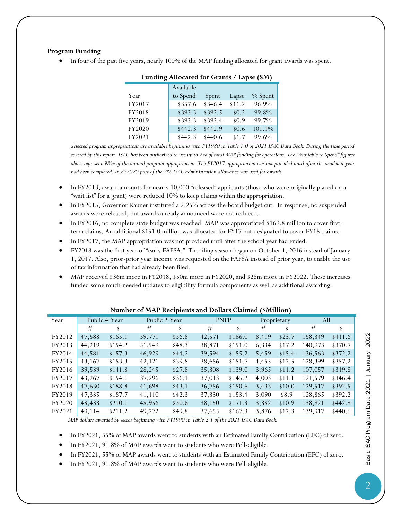#### **Program Funding**

• In four of the past five years, nearly 100% of the MAP funding allocated for grant awards was spent.

| $r$ and $r$ and $r$ and $r$ and $r$ and $r$ and $r$ and $r$ and $r$ and $r$ and $r$ and $r$ and $r$ and $r$ and $r$ and $r$ and $r$ and $r$ and $r$ and $r$ and $r$ and $r$ and $r$ and $r$ and $r$ and $r$ and $r$ and $r$ a |           |         |         |         |  |  |
|-------------------------------------------------------------------------------------------------------------------------------------------------------------------------------------------------------------------------------|-----------|---------|---------|---------|--|--|
|                                                                                                                                                                                                                               | Available |         |         |         |  |  |
| Year                                                                                                                                                                                                                          | to Spend  | Spent   | Lapse   | % Spent |  |  |
| FY2017                                                                                                                                                                                                                        | \$357.6   | \$346.4 | \$11.2  | 96.9%   |  |  |
| FY2018                                                                                                                                                                                                                        | \$393.3   | \$392.5 | \$0.2\$ | 99.8%   |  |  |
| FY2019                                                                                                                                                                                                                        | \$393.3   | \$392.4 | \$0.9   | 99.7%   |  |  |
| FY2020                                                                                                                                                                                                                        | \$442.3   | \$442.9 | \$0.6   | 101.1%  |  |  |
| FY2021                                                                                                                                                                                                                        | \$442.3   | \$440.6 | \$1.7   | 99.6%   |  |  |

#### **Funding Allocated for Grants / Lapse (\$M)**

*Selected program appropriations are available beginning with FY1980 in Table 1.0 of 2021 ISAC Data Book. During the time period covered by this report, ISAC has been authorized to use up to 2% of total MAP funding for operations. The "Available to Spend" figures above represent 98% of the annual program appropriation. The FY2017 appropriation was not provided until after the academic year had been completed. In FY2020 part of the 2% ISAC administration allowance was used for awards.*

- In FY2013, award amounts for nearly 10,000 "released" applicants (those who were originally placed on a "wait list" for a grant) were reduced 10% to keep claims within the appropriation.
- In FY2015, Governor Rauner instituted a 2.25% across-the-board budget cut. In response, no suspended awards were released, but awards already announced were not reduced.
- In FY2016, no complete state budget was reached. MAP was appropriated \$169.8 million to cover firstterm claims. An additional \$151.0 million was allocated for FY17 but designated to cover FY16 claims.
- In FY2017, the MAP appropriation was not provided until after the school year had ended.
- FY2018 was the first year of "early FAFSA." The filing season began on October 1, 2016 instead of January 1, 2017. Also, prior-prior year income was requested on the FAFSA instead of prior year, to enable the use of tax information that had already been filed.
- MAP received \$36m more in FY2018, \$50m more in FY2020, and \$28m more in FY2022. These increases funded some much-needed updates to eligibility formula components as well as additional awarding.

| Year   |        | Public 4-Year | Public 2-Year |          | <b>PNFP</b> |         |       | Proprietary | All     |         |
|--------|--------|---------------|---------------|----------|-------------|---------|-------|-------------|---------|---------|
|        | #      | S             | #             | \$       | #           | \$      | #     | \$          | #       | S       |
| FY2012 | 47,588 | \$165.1       | 59.771        | \$56.8   | 42,571      | \$166.0 | 8,419 | \$23.7      | 158,349 | \$411.6 |
| FY2013 | 44,219 | \$154.2       | 51,549        | \$48.3\$ | 38,871      | \$151.0 | 6,334 | \$17.2      | 140,973 | \$370.7 |
| FY2014 | 44,581 | \$157.3       | 46,929        | \$44.2\$ | 39,594      | \$155.2 | 5,459 | \$15.4      | 136,563 | \$372.2 |
| FY2015 | 43,167 | \$153.3       | 42,121        | \$39.8   | 38,656      | \$151.7 | 4,455 | \$12.5      | 128,399 | \$357.2 |
| FY2016 | 39,539 | \$141.8       | 28,245        | \$27.8   | 35,308      | \$139.0 | 3,965 | \$11.2      | 107,057 | \$319.8 |
| FY2017 | 43,267 | \$154.1       | 37,296        | \$36.1   | 37,013      | \$145.2 | 4,003 | \$11.1      | 121,579 | \$346.4 |
| FY2018 | 47,630 | \$188.8       | 41,698        | \$43.1   | 36,756      | \$150.6 | 3,433 | \$10.0      | 129,517 | \$392.5 |
| FY2019 | 47,335 | \$187.7       | 41,110        | \$42.3\$ | 37,330      | \$153.4 | 3,090 | \$8.9       | 128,865 | \$392.2 |
| FY2020 | 48,433 | \$210.1       | 48,956        | \$50.6   | 38,150      | \$171.3 | 3,382 | \$10.9      | 138,921 | \$442.9 |
| FY2021 | 49.114 | \$211.2       | 49,272        | \$49.8   | 37,655      | \$167.3 | 3,876 | \$12.3      | 139,917 | \$440.6 |

#### **Number of MAP Recipients and Dollars Claimed (\$Million)**

*MAP dollars awarded by sector beginning with FY1990 in Table 2.1 of the 2021 ISAC Data Book.*

• In FY2021, 55% of MAP awards went to students with an Estimated Family Contribution (EFC) of zero.

• In FY2021, 91.8% of MAP awards went to students who were Pell-eligible.

• In FY2021, 55% of MAP awards went to students with an Estimated Family Contribution (EFC) of zero.

• In FY2021, 91.8% of MAP awards went to students who were Pell-eligible.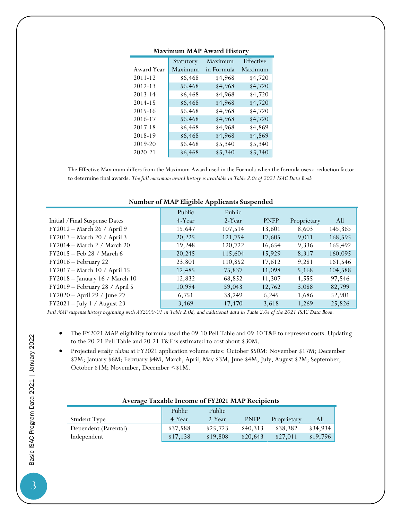|             | Statutory | Maximum    | Effective |
|-------------|-----------|------------|-----------|
| Award Year  | Maximum   | in Formula | Maximum   |
| $2011 - 12$ | \$6,468   | \$4,968    | \$4,720   |
| 2012-13     | \$6,468   | \$4,968    | \$4,720   |
| 2013-14     | \$6,468   | \$4,968    | \$4,720   |
| 2014-15     | \$6,468   | \$4,968    | \$4,720   |
| 2015-16     | \$6,468   | \$4,968    | \$4,720   |
| 2016-17     | \$6,468   | \$4,968    | \$4,720   |
| 2017-18     | \$6,468   | \$4,968    | \$4,869   |
| 2018-19     | \$6,468   | \$4,968    | \$4,869   |
| 2019-20     | \$6,468   | \$5,340    | \$5,340   |
| 2020-21     | \$6,468   | \$5,340    | \$5,340   |

#### **Maximum MAP Award History**

The Effective Maximum differs from the Maximum Award used in the Formula when the formula uses a reduction factor to determine final awards. *The full maximum award history is available in Table 2.0c of 2021 ISAC Data Book*

| ־−דא<br>n mar m                |        |         |             |             |         |
|--------------------------------|--------|---------|-------------|-------------|---------|
|                                | Public | Public  |             |             |         |
| Initial / Final Suspense Dates | 4-Year | 2-Year  | <b>PNFP</b> | Proprietary | All     |
| FY2012 - March 26 / April 9    | 15,647 | 107,514 | 13,601      | 8,603       | 145,365 |
| FY2013 - March 20 / April 3    | 20,225 | 121,754 | 17,605      | 9,011       | 168,595 |
| FY2014 - March 2 / March 20    | 19,248 | 120,722 | 16,654      | 9,336       | 165,492 |
| FY2015 - Feb 28 / March 6      | 20,245 | 115,604 | 15,929      | 8,317       | 160,095 |
| FY2016 - February 22           | 23,801 | 110,852 | 17,612      | 9,281       | 161,546 |
| FY2017 - March 10 / April 15   | 12,485 | 75,837  | 11,098      | 5,168       | 104,588 |
| FY2018 - January 16 / March 10 | 12,832 | 68,852  | 11,307      | 4,555       | 97,546  |
| FY2019 - February 28 / April 5 | 10,994 | 59,043  | 12,762      | 3,088       | 82,799  |
| FY2020 - April 29 / June 27    | 6,751  | 38,249  | 6,245       | 1,686       | 52,901  |
| $FY2021 - July 1 / August 23$  | 3,469  | 17,470  | 3,618       | 1,269       | 25,826  |
|                                |        |         |             |             |         |

#### **Number of MAP Eligible Applicants Suspended**

*Full MAP suspense history beginning with AY2000-01 in Table 2.0d, and additional data in Table 2.0e of the 2021 ISAC Data Book.*

- The FY2021 MAP eligibility formula used the 09-10 Pell Table and 09-10 T&F to represent costs. Updating to the 20-21 Pell Table and 20-21 T&F is estimated to cost about \$30M.
- Projected *weekly claims* at FY2021 application volume rates: October \$50M; November \$17M; December \$7M; January \$6M; February \$4M, March, April, May \$3M, June \$4M, July, August \$2M; September, October \$1M; November, December <\$1M.

#### **Average Taxable Income of FY2021 MAP Recipients**

|                      | Public   | Public   |             |             |          |
|----------------------|----------|----------|-------------|-------------|----------|
| <b>Student Type</b>  | 4-Year   | 2-Year   | <b>PNFP</b> | Proprietary | AШ       |
| Dependent (Parental) | \$37,588 | \$25,723 | \$40,313    | \$38,382    | \$34,934 |
| Independent          | \$17,138 | \$19,808 | \$20.643    | \$27.011    | \$19.796 |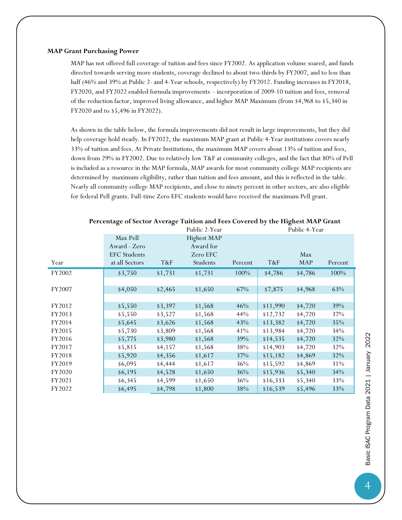#### **MAP Grant Purchasing Power**

MAP has not offered full coverage of tuition and fees since FY2002. As application volume soared, and funds directed towards serving more students, coverage declined to about two-thirds by FY2007, and to less than half (46% and 39% at Public 2- and 4-Year schools, respectively) by FY2012. Funding increases in FY2018, FY2020, and FY2022 enabled formula improvements – incorporation of 2009-10 tuition and fees, removal of the reduction factor, improved living allowance, and higher MAP Maximum (from \$4,968 to \$5,340 in FY2020 and to \$5,496 in FY2022).

As shown in the table below, the formula improvements did not result in large improvements, but they did help coverage hold steady. In FY2022, the maximum MAP grant at Public 4-Year institutions covers nearly 33% of tuition and fees. At Private Institutions, the maximum MAP covers about 13% of tuition and fees, down from 29% in FY2002. Due to relatively low T&F at community colleges, and the fact that 80% of Pell is included as a resource in the MAP formula, MAP awards for most community college MAP recipients are determined by maximum eligibility, rather than tuition and fees amount, and this is reflected in the table. Nearly all community college MAP recipients, and close to ninety percent in other sectors, are also eligible for federal Pell grants. Full-time Zero EFC students would have received the maximum Pell grant.

|        |                     |         | Public 2-Year |         |          | Public 4-Year |         |
|--------|---------------------|---------|---------------|---------|----------|---------------|---------|
|        | Max Pell            |         | Highest MAP   |         |          |               |         |
|        | Award - Zero        |         | Award for     |         |          |               |         |
|        | <b>EFC</b> Students |         | Zero EFC      |         |          | Max           |         |
| Year   | at all Sectors      | T&F     | Students      | Percent | T&F      | <b>MAP</b>    | Percent |
| FY2002 | \$3,750             | \$1,731 | \$1,731       | 100%    | \$4,786  | \$4,786       | 100%    |
|        |                     |         |               |         |          |               |         |
| FY2007 | \$4,050             | \$2,465 | \$1,650       | 67%     | \$7,875  | \$4,968       | 63%     |
|        |                     |         |               |         |          |               |         |
| FY2012 | \$5,550             | \$3,397 | \$1,568       | 46%     | \$11,990 | \$4,720       | 39%     |
| FY2013 | \$5,550             | \$3,527 | \$1,568       | 44%     | \$12,732 | \$4,720       | 37%     |
| FY2014 | \$5,645             | \$3,626 | \$1,568       | 43%     | \$13,382 | \$4,720       | 35%     |
| FY2015 | \$5,730             | \$3,809 | \$1,568       | 41%     | \$13,984 | \$4,720       | 34%     |
| FY2016 | \$5,775             | \$3,980 | \$1,568       | 39%     | \$14,535 | \$4,720       | 32%     |
| FY2017 | \$5,815             | \$4,157 | \$1,568       | 38%     | \$14,903 | \$4,720       | 32%     |
| FY2018 | \$5,920             | \$4,356 | \$1,617       | 37%     | \$15,182 | \$4,869       | 32%     |
| FY2019 | \$6,095             | \$4,444 | \$1,617       | 36%     | \$15,592 | \$4,869       | 31%     |
| FY2020 | \$6,195             | \$4,528 | \$1,650       | 36%     | \$15,936 | \$5,340       | 34%     |
| FY2021 | \$6,345             | \$4,599 | \$1,650       | 36%     | \$16,333 | \$5,340       | 33%     |
| FY2022 | \$6,495             | \$4,798 | \$1,800       | 38%     | \$16,539 | \$5,496       | 33%     |

#### **Percentage of Sector Average Tuition and Fees Covered by the Highest MAP Grant**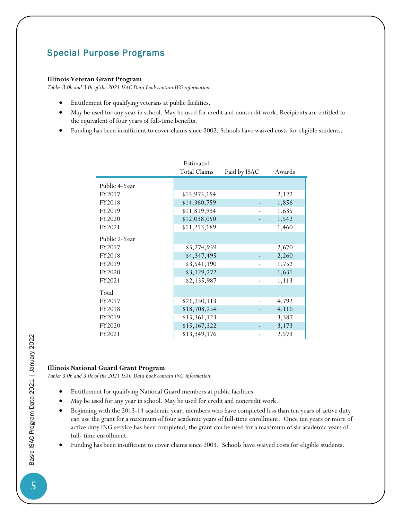### Special Purpose Programs

#### **Illinois Veteran Grant Program**

*Tables 3.0b and 3.0c of the 2021 ISAC Data Book contain IVG information.*

- Entitlement for qualifying veterans at public facilities.
- May be used for any year in school. May be used for credit and noncredit work. Recipients are entitled to the equivalent of four years of full-time benefits.
- Funding has been insufficient to cover claims since 2002. Schools have waived costs for eligible students.

|               | Estimated<br><b>Total Claims</b> | Paid by ISAC | Awards |
|---------------|----------------------------------|--------------|--------|
| Public 4-Year |                                  |              |        |
| FY2017        | \$15,975,154                     |              | 2,122  |
| FY2018        | \$14,360,759                     |              | 1,856  |
| FY2019        | \$11,819,934                     |              | 1,635  |
| FY2020        | \$12,038,050                     |              | 1,542  |
| FY2021        | \$11,213,189                     |              | 1,460  |
|               |                                  |              |        |
| Public 2-Year |                                  |              |        |
| FY2017        | \$5,274,959                      |              | 2,670  |
| FY2018        | \$4,347,495                      |              | 2,260  |
| FY2019        | \$3,541,190                      |              | 1,752  |
| FY2020        | \$3,129,272                      |              | 1,631  |
| FY2021        | \$2,135,987                      |              | 1,113  |
|               |                                  |              |        |
| Total         |                                  |              |        |
| FY2017        | \$21,250,113                     |              | 4,792  |
| FY2018        | \$18,708,254                     |              | 4,116  |
| FY2019        | \$15,361,123                     |              | 3,387  |
| FY2020        | \$15,167,322                     |              | 3,173  |
| FY2021        | \$13,349,176                     |              | 2,573  |

#### **Illinois National Guard Grant Program**

*Tables 3.0b and 3.0c of the 2021 ISAC Data Book contain ING information.*

- Entitlement for qualifying National Guard members at public facilities.
- May be used for any year in school. May be used for credit and noncredit work.
- Beginning with the 2013-14 academic year, members who have completed less than ten years of active duty can use the grant for a maximum of four academic years of full-time enrollment. Once ten years or more of active duty ING service has been completed, the grant can be used for a maximum of six academic years of full- time enrollment.
- Funding has been insufficient to cover claims since 2003. Schools have waived costs for eligible students.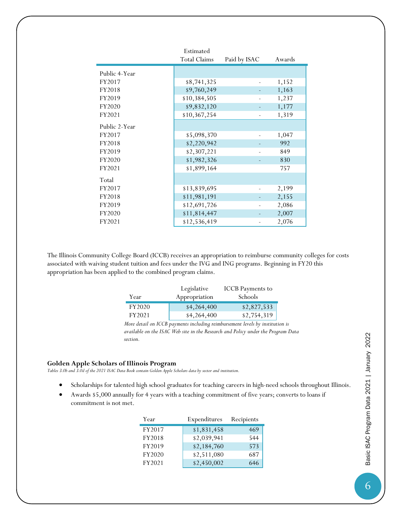|               | Estimated           |              |        |
|---------------|---------------------|--------------|--------|
|               | <b>Total Claims</b> | Paid by ISAC | Awards |
| Public 4-Year |                     |              |        |
| FY2017        | \$8,741,325         |              | 1,152  |
| FY2018        | \$9,760,249         |              | 1,163  |
| FY2019        | \$10,384,505        |              | 1,237  |
| FY2020        | \$9,832,120         |              | 1,177  |
| FY2021        | \$10,367,254        |              | 1,319  |
| Public 2-Year |                     |              |        |
| FY2017        | \$5,098,370         |              | 1,047  |
| FY2018        | \$2,220,942         |              | 992    |
| FY2019        | \$2,307,221         |              | 849    |
| FY2020        | \$1,982,326         |              | 830    |
| FY2021        | \$1,899,164         |              | 757    |
| Total         |                     |              |        |
| FY2017        | \$13,839,695        |              | 2,199  |
| FY2018        | \$11,981,191        |              | 2,155  |
| FY2019        | \$12,691,726        |              | 2,086  |
| FY2020        | \$11,814,447        |              | 2,007  |
| FY2021        | \$12,536,419        |              | 2,076  |

The Illinois Community College Board (ICCB) receives an appropriation to reimburse community colleges for costs associated with waiving student tuition and fees under the IVG and ING programs. Beginning in FY20 this appropriation has been applied to the combined program claims.

|        | Legislative   | <b>ICCB</b> Payments to |
|--------|---------------|-------------------------|
| Year   | Appropriation | Schools                 |
| FY2020 | \$4,264,400   | \$2,827,533             |
| FY2021 | \$4,264,400   | \$2,754,319             |

*More detail on ICCB payments including reimbursement levels by institution is available on the ISAC Web site in the Research and Policy under the Program Data section.*

#### **Golden Apple Scholars of Illinois Program**

*Tables 3.0b and 3.0d of the 2021 ISAC Data Book contain Golden Apple Scholars data by sector and institution.*

- Scholarships for talented high school graduates for teaching careers in high-need schools throughout Illinois.
- Awards \$5,000 annually for 4 years with a teaching commitment of five years; converts to loans if commitment is not met.

| Year   | Expenditures | Recipients |
|--------|--------------|------------|
| FY2017 | \$1,831,458  | 469        |
| FY2018 | \$2,039,941  | 544        |
| FY2019 | \$2,184,760  | 573        |
| FY2020 | \$2,511,080  | 687        |
| FY2021 | \$2,450,002  |            |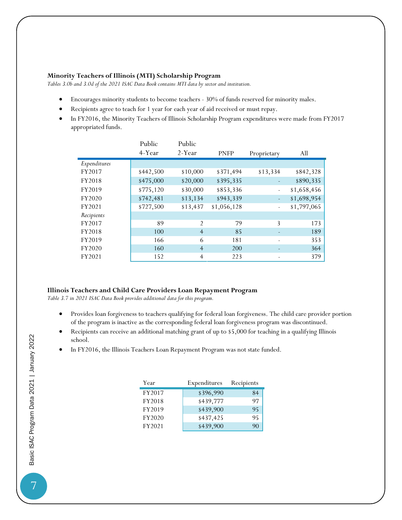#### **Minority Teachers of Illinois (MTI) Scholarship Program**

*Tables 3.0b and 3.0d of the 2021 ISAC Data Book contains MTI data by sector and institution.*

- Encourages minority students to become teachers 30% of funds reserved for minority males.
- Recipients agree to teach for 1 year for each year of aid received or must repay.
- In FY2016, the Minority Teachers of Illinois Scholarship Program expenditures were made from FY2017 appropriated funds.

|              | Public<br>4-Year | Public<br>2-Year | <b>PNFP</b> | Proprietary              | All         |
|--------------|------------------|------------------|-------------|--------------------------|-------------|
|              |                  |                  |             |                          |             |
| Expenditures |                  |                  |             |                          |             |
| FY2017       | \$442,500        | \$10,000         | \$371,494   | \$13,334                 | \$842,328   |
| FY2018       | \$475,000        | \$20,000         | \$395,335   |                          | \$890,335   |
| FY2019       | \$775,120        | \$30,000         | \$853,336   | $\overline{\phantom{0}}$ | \$1,658,456 |
| FY2020       | \$742,481        | \$13,134         | \$943,339   | $\overline{\phantom{a}}$ | \$1,698,954 |
| FY2021       | \$727,500        | \$13,437         | \$1,056,128 |                          | \$1,797,065 |
| Recipients   |                  |                  |             |                          |             |
| FY2017       | 89               | $\mathfrak{D}$   | 79          | 3                        | 173         |
| FY2018       | 100              | $\overline{4}$   | 85          |                          | 189         |
| FY2019       | 166              | 6                | 181         |                          | 353         |
| FY2020       | 160              | $\overline{4}$   | 200         |                          | 364         |
| FY2021       | 152              | $\overline{4}$   | 223         |                          | 379         |

#### **Illinois Teachers and Child Care Providers Loan Repayment Program**

*Table 3.7 in 2021 ISAC Data Book provides additional data for this program.*

- Provides loan forgiveness to teachers qualifying for federal loan forgiveness. The child care provider portion of the program is inactive as the corresponding federal loan forgiveness program was discontinued.
- Recipients can receive an additional matching grant of up to \$5,000 for teaching in a qualifying Illinois school.
- In FY2016, the Illinois Teachers Loan Repayment Program was not state funded.

| Year   | Expenditures | Recipients |
|--------|--------------|------------|
| FY2017 | \$396,990    | 84         |
| FY2018 | \$439,777    | 97         |
| FY2019 | \$439,900    | 95         |
| FY2020 | \$437,425    | 95         |
| FY2021 | \$439,900    | 90         |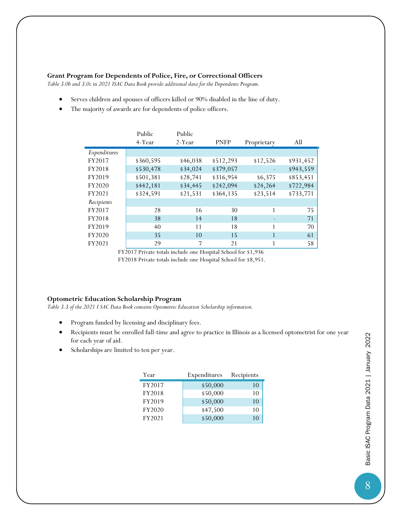#### **Grant Program for Dependents of Police, Fire, or Correctional Officers**

*Table 3.0b and 3.0c in 2021 ISAC Data Book provide additional data for the Dependents Program.*

- Serves children and spouses of officers killed or 90% disabled in the line of duty.
- The majority of awards are for dependents of police officers.

|              | Public    | Public   |             |             |           |
|--------------|-----------|----------|-------------|-------------|-----------|
|              | 4-Year    | 2-Year   | <b>PNFP</b> | Proprietary | All       |
| Expenditures |           |          |             |             |           |
| FY2017       | \$360,595 | \$46,038 | \$512,293   | \$12,526    | \$931,452 |
| FY2018       | \$530,478 | \$34,024 | \$379,057   |             | \$943,559 |
| FY2019       | \$501,381 | \$28,741 | \$316,954   | \$6,375     | \$853,451 |
| FY2020       | \$442,181 | \$34,445 | \$242,094   | \$24,264    | \$722,984 |
| FY2021       | \$324,591 | \$21,531 | \$364,135   | \$23,514    | \$733,771 |
| Recipients   |           |          |             |             |           |
| FY2017       | 28        | 16       | 30          | 1           | 75        |
| FY2018       | 38        | 14       | 18          |             | 71        |
| FY2019       | 40        | 11       | 18          |             | 70        |
| FY2020       | 35        | 10       | 15          |             | 61        |
| FY2021       | 29        | 7        | 21          |             | 58        |

FY2017 Private totals include one Hospital School for \$1,936 FY2018 Private totals include one Hospital School for \$8,951.

#### **Optometric Education Scholarship Program**

*Table 3.3 of the 2021 I SAC Data Book contains Optometric Education Scholarship information.*

- Program funded by licensing and disciplinary fees.
- Recipients must be enrolled full-time and agree to practice in Illinois as a licensed optometrist for one year for each year of aid.
- Scholarships are limited to ten per year.

| Year   | Expenditures | Recipients |
|--------|--------------|------------|
| FY2017 | \$50,000     | 10         |
| FY2018 | \$50,000     | 10         |
| FY2019 | \$50,000     | 10         |
| FY2020 | \$47,500     | 10         |
| FY2021 | \$50,000     |            |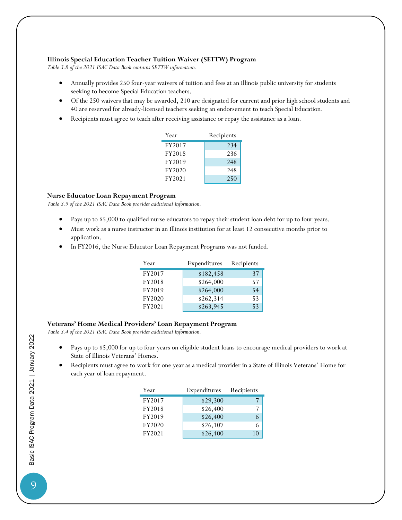#### **Illinois Special Education Teacher Tuition Waiver (SETTW) Program**

*Table 3.8 of the 2021 ISAC Data Book contains SETTW information.*

- Annually provides 250 four-year waivers of tuition and fees at an Illinois public university for students seeking to become Special Education teachers.
- Of the 250 waivers that may be awarded, 210 are designated for current and prior high school students and 40 are reserved for already-licensed teachers seeking an endorsement to teach Special Education.
- Recipients must agree to teach after receiving assistance or repay the assistance as a loan.

| Year   | Recipients |  |  |
|--------|------------|--|--|
| FY2017 | 234        |  |  |
| FY2018 | 236        |  |  |
| FY2019 | 248        |  |  |
| FY2020 | 248        |  |  |
| FY2021 | 250        |  |  |

#### **Nurse Educator Loan Repayment Program**

*Table 3.9 of the 2021 ISAC Data Book provides additional information.*

- Pays up to \$5,000 to qualified nurse educators to repay their student loan debt for up to four years.
- Must work as a nurse instructor in an Illinois institution for at least 12 consecutive months prior to application.
- In FY2016, the Nurse Educator Loan Repayment Programs was not funded.

| Year   | Expenditures | Recipients |
|--------|--------------|------------|
| FY2017 | \$182,458    | 37         |
| FY2018 | \$264,000    | 57         |
| FY2019 | \$264,000    | 54         |
| FY2020 | \$262,314    | 53         |
| FY2021 | \$263,945    | 53         |

#### **Veterans' Home Medical Providers' Loan Repayment Program**

*Table 3.4 of the 2021 ISAC Data Book provides additional information.*

- Pays up to \$5,000 for up to four years on eligible student loans to encourage medical providers to work at State of Illinois Veterans' Homes.
- Recipients must agree to work for one year as a medical provider in a State of Illinois Veterans' Home for each year of loan repayment.

| Year   | Expenditures | Recipients |
|--------|--------------|------------|
| FY2017 | \$29,300     |            |
| FY2018 | \$26,400     |            |
| FY2019 | \$26,400     |            |
| FY2020 | \$26,107     |            |
| FY2021 | \$26,400     |            |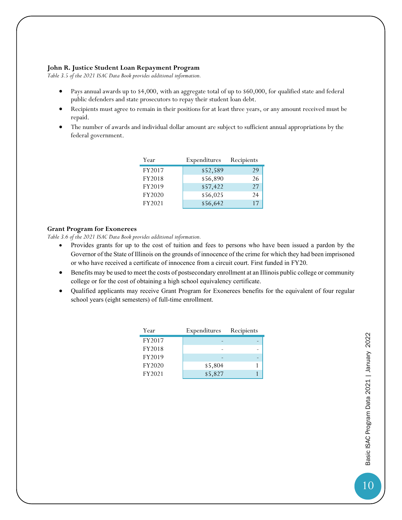#### **John R. Justice Student Loan Repayment Program**

*Table 3.5 of the 2021 ISAC Data Book provides additional information.*

- Pays annual awards up to \$4,000, with an aggregate total of up to \$60,000, for qualified state and federal public defenders and state prosecutors to repay their student loan debt.
- Recipients must agree to remain in their positions for at least three years, or any amount received must be repaid.
- The number of awards and individual dollar amount are subject to sufficient annual appropriations by the federal government.

| Year   | Expenditures | Recipients |
|--------|--------------|------------|
| FY2017 | \$52,589     | 29         |
| FY2018 | \$56,890     | 26         |
| FY2019 | \$57,422     | 27         |
| FY2020 | \$56,025     | 24         |
| FY2021 | \$56,642     | 17         |

#### **Grant Program for Exonerees**

*Table 3.6 of the 2021 ISAC Data Book provides additional information.*

- Provides grants for up to the cost of tuition and fees to persons who have been issued a pardon by the Governor of the State of Illinois on the grounds of innocence of the crime for which they had been imprisoned or who have received a certificate of innocence from a circuit court. First funded in FY20.
- Benefits may be used to meet the costs of postsecondary enrollment at an Illinois public college or community college or for the cost of obtaining a high school equivalency certificate.
- Qualified applicants may receive Grant Program for Exonerees benefits for the equivalent of four regular school years (eight semesters) of full-time enrollment.

| Year   | Expenditures | Recipients |
|--------|--------------|------------|
| FY2017 |              |            |
| FY2018 |              |            |
| FY2019 |              |            |
| FY2020 | \$5,804      |            |
| FY2021 | \$5,827      |            |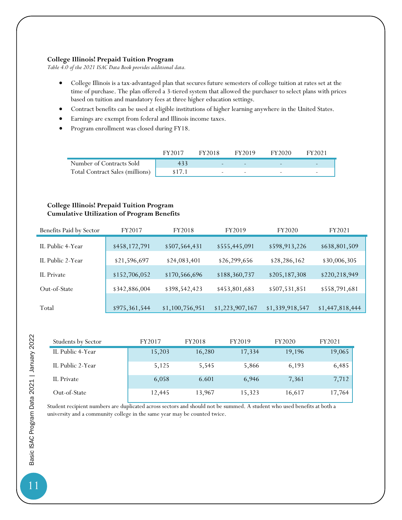#### **College Illinois! Prepaid Tuition Program**

*Table 4.0 of the 2021 ISAC Data Book provides additional data.*

- College Illinois is a tax-advantaged plan that secures future semesters of college tuition at rates set at the time of purchase. The plan offered a 3-tiered system that allowed the purchaser to select plans with prices based on tuition and mandatory fees at three higher education settings.
- Contract benefits can be used at eligible institutions of higher learning anywhere in the United States.
- Earnings are exempt from federal and Illinois income taxes.
- Program enrollment was closed during FY18.

|                                        | FY2017 | FY2018                   | FY2019                   | FY2020                   | FY2021                   |
|----------------------------------------|--------|--------------------------|--------------------------|--------------------------|--------------------------|
| Number of Contracts Sold               |        | $\overline{\phantom{0}}$ |                          |                          |                          |
| <b>Total Contract Sales (millions)</b> | \$17.1 | $\overline{\phantom{0}}$ | $\overline{\phantom{0}}$ | $\overline{\phantom{0}}$ | $\overline{\phantom{0}}$ |

#### **College Illinois! Prepaid Tuition Program Cumulative Utilization of Program Benefits**

| Benefits Paid by Sector | FY2017        | FY2018          | FY2019          | FY2020          | FY2021          |
|-------------------------|---------------|-----------------|-----------------|-----------------|-----------------|
| IL Public 4-Year        | \$458,172,791 | \$507,564,431   | \$555,445,091   | \$598,913,226   | \$638,801,509   |
| IL Public 2-Year        | \$21,596,697  | \$24,083,401    | \$26,299,656    | \$28,286,162    | \$30,006,305    |
| IL Private              | \$152,706,052 | \$170,566,696   | \$188,360,737   | \$205,187,308   | \$220,218,949   |
| Out-of-State            | \$342,886,004 | \$398,542,423   | \$453,801,683   | \$507,531,851   | \$558,791,681   |
| Total                   | \$975,361,544 | \$1,100,756,951 | \$1,223,907,167 | \$1,339,918,547 | \$1,447,818,444 |

| Students by Sector | FY2017 | FY2018 | FY2019 | FY2020 | FY2021 |
|--------------------|--------|--------|--------|--------|--------|
| IL Public 4-Year   | 15,203 | 16,280 | 17,334 | 19,196 | 19,065 |
| IL Public 2-Year   | 5,125  | 5,545  | 5,866  | 6,193  | 6,485  |
| IL Private         | 6,058  | 6.601  | 6,946  | 7,361  | 7,712  |
| Out-of-State       | 12,445 | 13,967 | 15,323 | 16,617 | 17,764 |

Student recipient numbers are duplicated across sectors and should not be summed. A student who used benefits at both a university and a community college in the same year may be counted twice.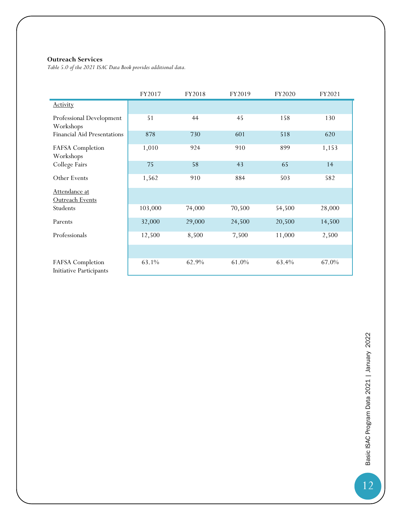#### **Outreach Services**

*Table 5.0 of the 2021 ISAC Data Book provides additional data.*

|                                                    | FY2017  | FY2018 | FY2019 | FY2020 | FY2021 |
|----------------------------------------------------|---------|--------|--------|--------|--------|
| <b>Activity</b>                                    |         |        |        |        |        |
| Professional Development<br>Workshops              | 51      | 44     | 45     | 158    | 130    |
| <b>Financial Aid Presentations</b>                 | 878     | 730    | 601    | 518    | 620    |
| FAFSA Completion<br>Workshops                      | 1,010   | 924    | 910    | 899    | 1,153  |
| College Fairs                                      | 75      | 58     | 43     | 65     | 14     |
| Other Events                                       | 1,562   | 910    | 884    | 503    | 582    |
| Attendance at<br>Outreach Events                   |         |        |        |        |        |
| Students                                           | 103,000 | 74,000 | 70,500 | 54,500 | 28,000 |
| Parents                                            | 32,000  | 29,000 | 24,500 | 20,500 | 14,500 |
| Professionals                                      | 12,500  | 8,500  | 7,500  | 11,000 | 2,500  |
|                                                    |         |        |        |        |        |
| FAFSA Completion<br><b>Initiative Participants</b> | 63.1%   | 62.9%  | 61.0%  | 63.4%  | 67.0%  |